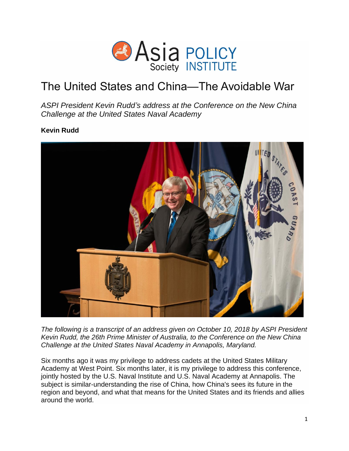

# The United States and China—The Avoidable War

*ASPI President Kevin Rudd's address at the Conference on the New China Challenge at the United States Naval Academy*

**Kevin Rudd**



*The following is a transcript of an address given on October 10, 2018 by ASPI President Kevin Rudd, the 26th Prime Minister of Australia, to the Conference on the New China Challenge at the United States Naval Academy in Annapolis, Maryland.*

Six months ago it was my privilege to address cadets at the United States Military Academy at West Point. Six months later, it is my privilege to address this conference, jointly hosted by the U.S. Naval Institute and U.S. Naval Academy at Annapolis. The subject is similar-understanding the rise of China, how China's sees its future in the region and beyond, and what that means for the United States and its friends and allies around the world.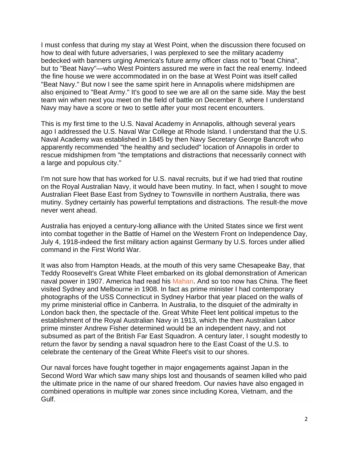I must confess that during my stay at West Point, when the discussion there focused on how to deal with future adversaries, I was perplexed to see the military academy bedecked with banners urging America's future army officer class not to "beat China", but to "Beat Navy"—who West Pointers assured me were in fact the real enemy. Indeed the fine house we were accommodated in on the base at West Point was itself called "Beat Navy." But now I see the same spirit here in Annapolis where midshipmen are also enjoined to "Beat Army." It's good to see we are all on the same side. May the best team win when next you meet on the field of battle on December 8, where I understand Navy may have a score or two to settle after your most recent encounters.

This is my first time to the U.S. Naval Academy in Annapolis, although several years ago I addressed the U.S. Naval War College at Rhode Island. I understand that the U.S. Naval Academy was established in 1845 by then Navy Secretary George Bancroft who apparently recommended "the healthy and secluded" location of Annapolis in order to rescue midshipmen from "the temptations and distractions that necessarily connect with a large and populous city."

I'm not sure how that has worked for U.S. naval recruits, but if we had tried that routine on the Royal Australian Navy, it would have been mutiny. In fact, when I sought to move Australian Fleet Base East from Sydney to Townsville in northern Australia, there was mutiny. Sydney certainly has powerful temptations and distractions. The result-the move never went ahead.

Australia has enjoyed a century-long alliance with the United States since we first went into combat together in the Battle of Hamel on the Western Front on Independence Day, July 4, 1918-indeed the first military action against Germany by U.S. forces under allied command in the First World War.

It was also from Hampton Heads, at the mouth of this very same Chesapeake Bay, that Teddy Roosevelt's Great White Fleet embarked on its global demonstration of American naval power in 1907. America had read his [Mahan.](https://en.wikipedia.org/wiki/Alfred_Thayer_Mahan) And so too now has China. The fleet visited Sydney and Melbourne in 1908. In fact as prime minister I had contemporary photographs of the USS Connecticut in Sydney Harbor that year placed on the walls of my prime ministerial office in Canberra. In Australia, to the disquiet of the admiralty in London back then, the spectacle of the. Great White Fleet lent political impetus to the establishment of the Royal Australian Navy in 1913, which the then Australian Labor prime minster Andrew Fisher determined would be an independent navy, and not subsumed as part of the British Far East Squadron. A century later, I sought modestly to return the favor by sending a naval squadron here to the East Coast of the U.S. to celebrate the centenary of the Great White Fleet's visit to our shores.

Our naval forces have fought together in major engagements against Japan in the Second Word War which saw many ships lost and thousands of seamen killed who paid the ultimate price in the name of our shared freedom. Our navies have also engaged in combined operations in multiple war zones since including Korea, Vietnam, and the Gulf.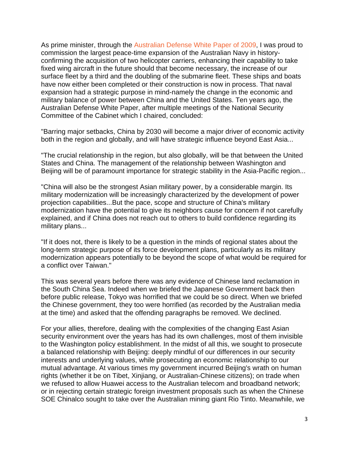As prime minister, through the Australian Defense [White Paper of 2009,](http://www.defence.gov.au/whitepaper/2009/docs/defence_white_paper_2009.pdf) I was proud to commission the largest peace-time expansion of the Australian Navy in historyconfirming the acquisition of two helicopter carriers, enhancing their capability to take fixed wing aircraft in the future should that become necessary, the increase of our surface fleet by a third and the doubling of the submarine fleet. These ships and boats have now either been completed or their construction is now in process. That naval expansion had a strategic purpose in mind-namely the change in the economic and military balance of power between China and the United States. Ten years ago, the Australian Defense White Paper, after multiple meetings of the National Security Committee of the Cabinet which I chaired, concluded:

"Barring major setbacks, China by 2030 will become a major driver of economic activity both in the region and globally, and will have strategic influence beyond East Asia...

"The crucial relationship in the region, but also globally, will be that between the United States and China. The management of the relationship between Washington and Beijing will be of paramount importance for strategic stability in the Asia-Pacific region...

"China will also be the strongest Asian military power, by a considerable margin. Its military modernization will be increasingly characterized by the development of power projection capabilities...But the pace, scope and structure of China's military modernization have the potential to give its neighbors cause for concern if not carefully explained, and if China does not reach out to others to build confidence regarding its military plans...

"If it does not, there is likely to be a question in the minds of regional states about the long-term strategic purpose of its force development plans, particularly as its military modernization appears potentially to be beyond the scope of what would be required for a conflict over Taiwan."

This was several years before there was any evidence of Chinese land reclamation in the South China Sea. Indeed when we briefed the Japanese Government back then before public release, Tokyo was horrified that we could be so direct. When we briefed the Chinese government, they too were horrified (as recorded by the Australian media at the time) and asked that the offending paragraphs be removed. We declined.

For your allies, therefore, dealing with the complexities of the changing East Asian security environment over the years has had its own challenges, most of them invisible to the Washington policy establishment. In the midst of all this, we sought to prosecute a balanced relationship with Beijing: deeply mindful of our differences in our security interests and underlying values, while prosecuting an economic relationship to our mutual advantage. At various times my government incurred Beijing's wrath on human rights (whether it be on Tibet, Xinjiang, or Australian-Chinese citizens); on trade when we refused to allow Huawei access to the Australian telecom and broadband network; or in rejecting certain strategic foreign investment proposals such as when the Chinese SOE Chinalco sought to take over the Australian mining giant Rio Tinto. Meanwhile, we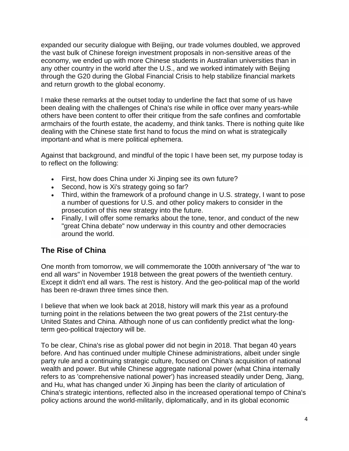expanded our security dialogue with Beijing, our trade volumes doubled, we approved the vast bulk of Chinese foreign investment proposals in non-sensitive areas of the economy, we ended up with more Chinese students in Australian universities than in any other country in the world after the U.S., and we worked intimately with Beijing through the G20 during the Global Financial Crisis to help stabilize financial markets and return growth to the global economy.

I make these remarks at the outset today to underline the fact that some of us have been dealing with the challenges of China's rise while in office over many years-while others have been content to offer their critique from the safe confines and comfortable armchairs of the fourth estate, the academy, and think tanks. There is nothing quite like dealing with the Chinese state first hand to focus the mind on what is strategically important-and what is mere political ephemera.

Against that background, and mindful of the topic I have been set, my purpose today is to reflect on the following:

- First, how does China under Xi Jinping see its own future?
- Second, how is Xi's strategy going so far?
- Third, within the framework of a profound change in U.S. strategy, I want to pose a number of questions for U.S. and other policy makers to consider in the prosecution of this new strategy into the future.
- Finally, I will offer some remarks about the tone, tenor, and conduct of the new "great China debate" now underway in this country and other democracies around the world.

# **The Rise of China**

One month from tomorrow, we will commemorate the 100th anniversary of "the war to end all wars" in November 1918 between the great powers of the twentieth century. Except it didn't end all wars. The rest is history. And the geo-political map of the world has been re-drawn three times since then.

I believe that when we look back at 2018, history will mark this year as a profound turning point in the relations between the two great powers of the 21st century-the United States and China. Although none of us can confidently predict what the longterm geo-political trajectory will be.

To be clear, China's rise as global power did not begin in 2018. That began 40 years before. And has continued under multiple Chinese administrations, albeit under single party rule and a continuing strategic culture, focused on China's acquisition of national wealth and power. But while Chinese aggregate national power (what China internally refers to as 'comprehensive national power') has increased steadily under Deng, Jiang, and Hu, what has changed under Xi Jinping has been the clarity of articulation of China's strategic intentions, reflected also in the increased operational tempo of China's policy actions around the world-militarily, diplomatically, and in its global economic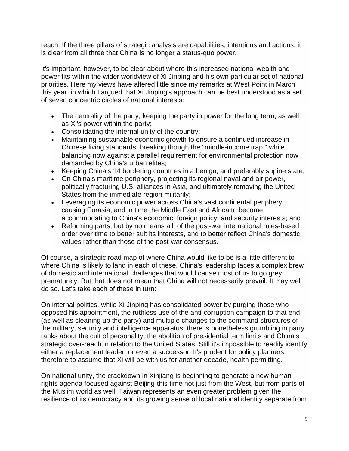reach. If the three pillars of strategic analysis are capabilities, intentions and actions, it is clear from all three that China is no longer a status-quo power.

It's important, however, to be clear about where this increased national wealth and power fits within the wider worldview of Xi Jinping and his own particular set of national priorities. Here my views have altered little since my remarks at West Point in March this year, in which I argued that Xi Jinping's approach can be best understood as a set of seven concentric circles of national interests:

- The centrality of the party, keeping the party in power for the long term, as well as Xi's power within the party;
- Consolidating the internal unity of the country;
- Maintaining sustainable economic growth to ensure a continued increase in Chinese living standards, breaking though the "middle-income trap," while balancing now against a parallel requirement for environmental protection now demanded by China's urban elites;
- Keeping China's 14 bordering countries in a benign, and preferably supine state;
- On China's maritime periphery, projecting its regional naval and air power, politically fracturing U.S. alliances in Asia, and ultimately removing the United States from the immediate region militarily;
- Leveraging its economic power across China's vast continental periphery, causing Eurasia, and in time the Middle East and Africa to become accommodating to China's economic, foreign policy, and security interests; and
- Reforming parts, but by no means all, of the post-war international rules-based order over time to better suit its interests, and to better reflect China's domestic values rather than those of the post-war consensus.

Of course, a strategic road map of where China would like to be is a little different to where China is likely to land in each of these. China's leadership faces a complex brew of domestic and international challenges that would cause most of us to go grey prematurely. But that does not mean that China will not necessarily prevail. It may well do so. Let's take each of these in turn:

On internal politics, while Xi Jinping has consolidated power by purging those who opposed his appointment, the ruthless use of the anti-corruption campaign to that end (as well as cleaning up the party) and multiple changes to the command structures of the military, security and intelligence apparatus, there is nonetheless grumbling in party ranks about the cult of personality, the abolition of presidential term limits and China's strategic over-reach in relation to the United States. Still it's impossible to readily identify either a replacement leader, or even a successor. It's prudent for policy planners therefore to assume that Xi will be with us for another decade, health permitting.

On national unity, the crackdown in Xinjiang is beginning to generate a new human rights agenda focused against Beijing-this time not just from the West, but from parts of the Muslim world as well. Taiwan represents an even greater problem given the resilience of its democracy and its growing sense of local national identity separate from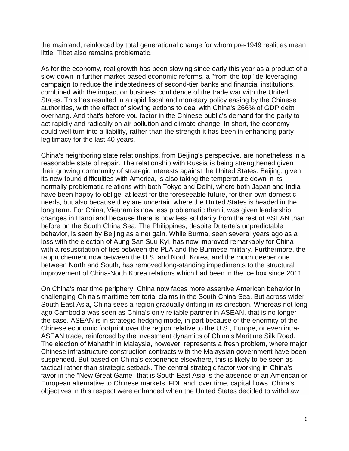the mainland, reinforced by total generational change for whom pre-1949 realities mean little. Tibet also remains problematic.

As for the economy, real growth has been slowing since early this year as a product of a slow-down in further market-based economic reforms, a "from-the-top" de-leveraging campaign to reduce the indebtedness of second-tier banks and financial institutions, combined with the impact on business confidence of the trade war with the United States. This has resulted in a rapid fiscal and monetary policy easing by the Chinese authorities, with the effect of slowing actions to deal with China's 266% of GDP debt overhang. And that's before you factor in the Chinese public's demand for the party to act rapidly and radically on air pollution and climate change. In short, the economy could well turn into a liability, rather than the strength it has been in enhancing party legitimacy for the last 40 years.

China's neighboring state relationships, from Beijing's perspective, are nonetheless in a reasonable state of repair. The relationship with Russia is being strengthened given their growing community of strategic interests against the United States. Beijing, given its new-found difficulties with America, is also taking the temperature down in its normally problematic relations with both Tokyo and Delhi, where both Japan and India have been happy to oblige, at least for the foreseeable future, for their own domestic needs, but also because they are uncertain where the United States is headed in the long term. For China, Vietnam is now less problematic than it was given leadership changes in Hanoi and because there is now less solidarity from the rest of ASEAN than before on the South China Sea. The Philippines, despite Duterte's unpredictable behavior, is seen by Beijing as a net gain. While Burma, seen several years ago as a loss with the election of Aung San Suu Kyi, has now improved remarkably for China with a resuscitation of ties between the PLA and the Burmese military. Furthermore, the rapprochement now between the U.S. and North Korea, and the much deeper one between North and South, has removed long-standing impediments to the structural improvement of China-North Korea relations which had been in the ice box since 2011.

On China's maritime periphery, China now faces more assertive American behavior in challenging China's maritime territorial claims in the South China Sea. But across wider South East Asia, China sees a region gradually drifting in its direction. Whereas not long ago Cambodia was seen as China's only reliable partner in ASEAN, that is no longer the case. ASEAN is in strategic hedging mode, in part because of the enormity of the Chinese economic footprint over the region relative to the U.S., Europe, or even intra-ASEAN trade, reinforced by the investment dynamics of China's Maritime Silk Road. The election of Mahathir in Malaysia, however, represents a fresh problem, where major Chinese infrastructure construction contracts with the Malaysian government have been suspended. But based on China's experience elsewhere, this is likely to be seen as tactical rather than strategic setback. The central strategic factor working in China's favor in the "New Great Game" that is South East Asia is the absence of an American or European alternative to Chinese markets, FDI, and, over time, capital flows. China's objectives in this respect were enhanced when the United States decided to withdraw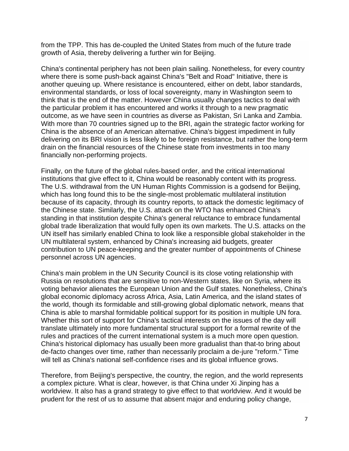from the TPP. This has de-coupled the United States from much of the future trade growth of Asia, thereby delivering a further win for Beijing.

China's continental periphery has not been plain sailing. Nonetheless, for every country where there is some push-back against China's "Belt and Road" Initiative, there is another queuing up. Where resistance is encountered, either on debt, labor standards, environmental standards, or loss of local sovereignty, many in Washington seem to think that is the end of the matter. However China usually changes tactics to deal with the particular problem it has encountered and works it through to a new pragmatic outcome, as we have seen in countries as diverse as Pakistan, Sri Lanka and Zambia. With more than 70 countries signed up to the BRI, again the strategic factor working for China is the absence of an American alternative. China's biggest impediment in fully delivering on its BRI vision is less likely to be foreign resistance, but rather the long-term drain on the financial resources of the Chinese state from investments in too many financially non-performing projects.

Finally, on the future of the global rules-based order, and the critical international institutions that give effect to it, China would be reasonably content with its progress. The U.S. withdrawal from the UN Human Rights Commission is a godsend for Beijing, which has long found this to be the single-most problematic multilateral institution because of its capacity, through its country reports, to attack the domestic legitimacy of the Chinese state. Similarly, the U.S. attack on the WTO has enhanced China's standing in that institution despite China's general reluctance to embrace fundamental global trade liberalization that would fully open its own markets. The U.S. attacks on the UN itself has similarly enabled China to look like a responsible global stakeholder in the UN multilateral system, enhanced by China's increasing aid budgets, greater contribution to UN peace-keeping and the greater number of appointments of Chinese personnel across UN agencies.

China's main problem in the UN Security Council is its close voting relationship with Russia on resolutions that are sensitive to non-Western states, like on Syria, where its voting behavior alienates the European Union and the Gulf states. Nonetheless, China's global economic diplomacy across Africa, Asia, Latin America, and the island states of the world, though its formidable and still-growing global diplomatic network, means that China is able to marshal formidable political support for its position in multiple UN fora. Whether this sort of support for China's tactical interests on the issues of the day will translate ultimately into more fundamental structural support for a formal rewrite of the rules and practices of the current international system is a much more open question. China's historical diplomacy has usually been more gradualist than that-to bring about de-facto changes over time, rather than necessarily proclaim a de-jure "reform." Time will tell as China's national self-confidence rises and its global influence grows.

Therefore, from Beijing's perspective, the country, the region, and the world represents a complex picture. What is clear, however, is that China under Xi Jinping has a worldview. It also has a grand strategy to give effect to that worldview. And it would be prudent for the rest of us to assume that absent major and enduring policy change,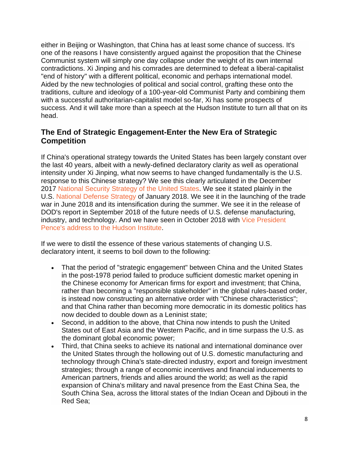either in Beijing or Washington, that China has at least some chance of success. It's one of the reasons I have consistently argued against the proposition that the Chinese Communist system will simply one day collapse under the weight of its own internal contradictions. Xi Jinping and his comrades are determined to defeat a liberal-capitalist "end of history" with a different political, economic and perhaps international model. Aided by the new technologies of political and social control, grafting these onto the traditions, culture and ideology of a 100-year-old Communist Party and combining them with a successful authoritarian-capitalist model so-far, Xi has some prospects of success. And it will take more than a speech at the Hudson Institute to turn all that on its head.

### **The End of Strategic Engagement-Enter the New Era of Strategic Competition**

If China's operational strategy towards the United States has been largely constant over the last 40 years, albeit with a newly-defined declaratory clarity as well as operational intensity under Xi Jinping, what now seems to have changed fundamentally is the U.S. response to this Chinese strategy? We see this clearly articulated in the December 2017 [National Security Strategy of the United States.](https://www.whitehouse.gov/wp-content/uploads/2017/12/NSS-Final-12-18-2017-0905.pdf) We see it stated plainly in the U.S. [National Defense](https://dod.defense.gov/Portals/1/Documents/pubs/2018-National-Defense-Strategy-Summary.pdf) Strategy of January 2018. We see it in the launching of the trade war in June 2018 and its intensification during the summer. We see it in the release of DOD's report in September 2018 of the future needs of U.S. defense manufacturing, industry, and technology. And we have seen in October 2018 with [Vice President](https://www.hudson.org/events/1610-vice-president-mike-pence-s-remarks-on-the-administration-s-policy-towards-china102018)  [Pence's address to the Hudson Institute.](https://www.hudson.org/events/1610-vice-president-mike-pence-s-remarks-on-the-administration-s-policy-towards-china102018)

If we were to distil the essence of these various statements of changing U.S. declaratory intent, it seems to boil down to the following:

- That the period of "strategic engagement" between China and the United States in the post-1978 period failed to produce sufficient domestic market opening in the Chinese economy for American firms for export and investment; that China, rather than becoming a "responsible stakeholder" in the global rules-based order, is instead now constructing an alternative order with "Chinese characteristics"; and that China rather than becoming more democratic in its domestic politics has now decided to double down as a Leninist state;
- Second, in addition to the above, that China now intends to push the United States out of East Asia and the Western Pacific, and in time surpass the U.S. as the dominant global economic power;
- Third, that China seeks to achieve its national and international dominance over the United States through the hollowing out of U.S. domestic manufacturing and technology through China's state-directed industry, export and foreign investment strategies; through a range of economic incentives and financial inducements to American partners, friends and allies around the world; as well as the rapid expansion of China's military and naval presence from the East China Sea, the South China Sea, across the littoral states of the Indian Ocean and Djibouti in the Red Sea;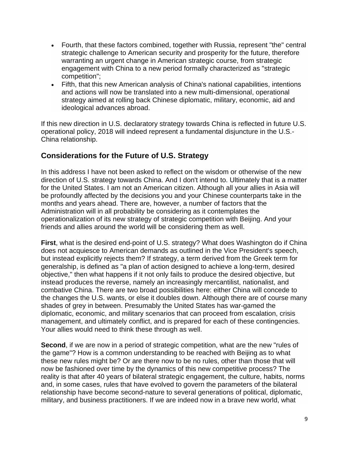- Fourth, that these factors combined, together with Russia, represent "the" central strategic challenge to American security and prosperity for the future, therefore warranting an urgent change in American strategic course, from strategic engagement with China to a new period formally characterized as "strategic competition";
- Fifth, that this new American analysis of China's national capabilities, intentions and actions will now be translated into a new multi-dimensional, operational strategy aimed at rolling back Chinese diplomatic, military, economic, aid and ideological advances abroad.

If this new direction in U.S. declaratory strategy towards China is reflected in future U.S. operational policy, 2018 will indeed represent a fundamental disjuncture in the U.S.- China relationship.

# **Considerations for the Future of U.S. Strategy**

In this address I have not been asked to reflect on the wisdom or otherwise of the new direction of U.S. strategy towards China. And I don't intend to. Ultimately that is a matter for the United States. I am not an American citizen. Although all your allies in Asia will be profoundly affected by the decisions you and your Chinese counterparts take in the months and years ahead. There are, however, a number of factors that the Administration will in all probability be considering as it contemplates the operationalization of its new strategy of strategic competition with Beijing. And your friends and allies around the world will be considering them as well.

**First**, what is the desired end-point of U.S. strategy? What does Washington do if China does not acquiesce to American demands as outlined in the Vice President's speech, but instead explicitly rejects them? If strategy, a term derived from the Greek term for generalship, is defined as "a plan of action designed to achieve a long-term, desired objective," then what happens if it not only fails to produce the desired objective, but instead produces the reverse, namely an increasingly mercantilist, nationalist, and combative China. There are two broad possibilities here: either China will concede to the changes the U.S. wants, or else it doubles down. Although there are of course many shades of grey in between. Presumably the United States has war-gamed the diplomatic, economic, and military scenarios that can proceed from escalation, crisis management, and ultimately conflict, and is prepared for each of these contingencies. Your allies would need to think these through as well.

**Second**, if we are now in a period of strategic competition, what are the new "rules of the game"? How is a common understanding to be reached with Beijing as to what these new rules might be? Or are there now to be no rules, other than those that will now be fashioned over time by the dynamics of this new competitive process? The reality is that after 40 years of bilateral strategic engagement, the culture, habits, norms and, in some cases, rules that have evolved to govern the parameters of the bilateral relationship have become second-nature to several generations of political, diplomatic, military, and business practitioners. If we are indeed now in a brave new world, what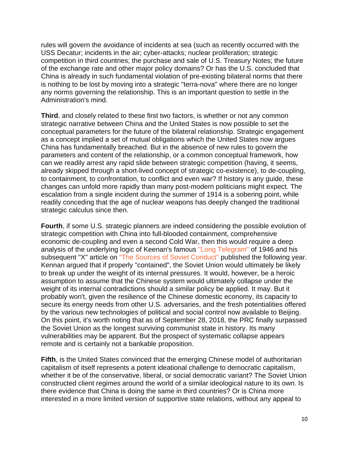rules will govern the avoidance of incidents at sea (such as recently occurred with the USS Decatur; incidents in the air; cyber-attacks; nuclear proliferation; strategic competition in third countries; the purchase and sale of U.S. Treasury Notes; the future of the exchange rate and other major policy domains? Or has the U.S. concluded that China is already in such fundamental violation of pre-existing bilateral norms that there is nothing to be lost by moving into a strategic "terra-nova" where there are no longer any norms governing the relationship. This is an important question to settle in the Administration's mind.

**Third**, and closely related to these first two factors, is whether or not any common strategic narrative between China and the United States is now possible to set the conceptual parameters for the future of the bilateral relationship. Strategic engagement as a concept implied a set of mutual obligations which the United States now argues China has fundamentally breached. But in the absence of new rules to govern the parameters and content of the relationship, or a common conceptual framework, how can we readily arrest any rapid slide between strategic competition (having, it seems, already skipped through a short-lived concept of strategic co-existence), to de-coupling, to containment, to confrontation, to conflict and even war? If history is any guide, these changes can unfold more rapidly than many post-modern politicians might expect. The escalation from a single incident during the summer of 1914 is a sobering point, while readily conceding that the age of nuclear weapons has deeply changed the traditional strategic calculus since then.

**Fourth**, if some U.S. strategic planners are indeed considering the possible evolution of strategic competition with China into full-blooded containment, comprehensive economic de-coupling and even a second Cold War, then this would require a deep analysis of the underlying logic of Keenan's famous ["Long Telegram"](https://www.trumanlibrary.org/whistlestop/study_collections/coldwar/documents/pdf/6-6.pdf) of 1946 and his subsequent "X" article on ["The Sources of Soviet Conduct"](https://1.cdn.edl.io/FbmQeyUKXleslaIe0cvRXkYI61eT3R79jzDFHCzFB5k8fvWH.pdf) published the following year. Kennan argued that if properly "contained", the Soviet Union would ultimately be likely to break up under the weight of its internal pressures. It would, however, be a heroic assumption to assume that the Chinese system would ultimately collapse under the weight of its internal contradictions should a similar policy be applied. It may. But it probably won't, given the resilience of the Chinese domestic economy, its capacity to secure its energy needs from other U.S. adversaries, and the fresh potentialities offered by the various new technologies of political and social control now available to Beijing. On this point, it's worth noting that as of September 28, 2018, the PRC finally surpassed the Soviet Union as the longest surviving communist state in history. Its many vulnerabilities may be apparent. But the prospect of systematic collapse appears remote and is certainly not a bankable proposition.

**Fifth**, is the United States convinced that the emerging Chinese model of authoritarian capitalism of itself represents a potent ideational challenge to democratic capitalism, whether it be of the conservative, liberal, or social democratic variant? The Soviet Union constructed client regimes around the world of a similar ideological nature to its own. Is there evidence that China is doing the same in third countries? Or is China more interested in a more limited version of supportive state relations, without any appeal to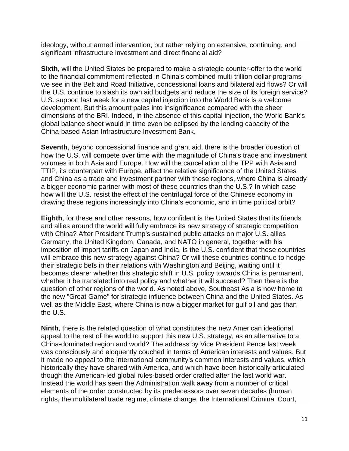ideology, without armed intervention, but rather relying on extensive, continuing, and significant infrastructure investment and direct financial aid?

**Sixth**, will the United States be prepared to make a strategic counter-offer to the world to the financial commitment reflected in China's combined multi-trillion dollar programs we see in the Belt and Road Initiative, concessional loans and bilateral aid flows? Or will the U.S. continue to slash its own aid budgets and reduce the size of its foreign service? U.S. support last week for a new capital injection into the World Bank is a welcome development. But this amount pales into insignificance compared with the sheer dimensions of the BRI. Indeed, in the absence of this capital injection, the World Bank's global balance sheet would in time even be eclipsed by the lending capacity of the China-based Asian Infrastructure Investment Bank.

**Seventh**, beyond concessional finance and grant aid, there is the broader question of how the U.S. will compete over time with the magnitude of China's trade and investment volumes in both Asia and Europe. How will the cancellation of the TPP with Asia and TTIP, its counterpart with Europe, affect the relative significance of the United States and China as a trade and investment partner with these regions, where China is already a bigger economic partner with most of these countries than the U.S.? In which case how will the U.S. resist the effect of the centrifugal force of the Chinese economy in drawing these regions increasingly into China's economic, and in time political orbit?

**Eighth**, for these and other reasons, how confident is the United States that its friends and allies around the world will fully embrace its new strategy of strategic competition with China? After President Trump's sustained public attacks on major U.S. allies Germany, the United Kingdom, Canada, and NATO in general, together with his imposition of import tariffs on Japan and India, is the U.S. confident that these countries will embrace this new strategy against China? Or will these countries continue to hedge their strategic bets in their relations with Washington and Beijing, waiting until it becomes clearer whether this strategic shift in U.S. policy towards China is permanent, whether it be translated into real policy and whether it will succeed? Then there is the question of other regions of the world. As noted above, Southeast Asia is now home to the new "Great Game" for strategic influence between China and the United States. As well as the Middle East, where China is now a bigger market for gulf oil and gas than the U.S.

**Ninth**, there is the related question of what constitutes the new American ideational appeal to the rest of the world to support this new U.S. strategy, as an alternative to a China-dominated region and world? The address by Vice President Pence last week was consciously and eloquently couched in terms of American interests and values. But it made no appeal to the international community's common interests and values, which historically they have shared with America, and which have been historically articulated though the American-led global rules-based order crafted after the last world war. Instead the world has seen the Administration walk away from a number of critical elements of the order constructed by its predecessors over seven decades (human rights, the multilateral trade regime, climate change, the International Criminal Court,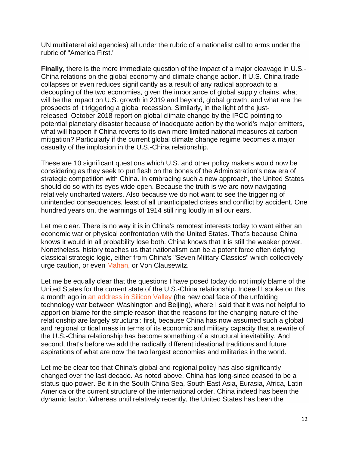UN multilateral aid agencies) all under the rubric of a nationalist call to arms under the rubric of "America First."

**Finally**, there is the more immediate question of the impact of a major cleavage in U.S.- China relations on the global economy and climate change action. If U.S.-China trade collapses or even reduces significantly as a result of any radical approach to a decoupling of the two economies, given the importance of global supply chains, what will be the impact on U.S. growth in 2019 and beyond, global growth, and what are the prospects of it triggering a global recession. Similarly, in the light of the justreleased October 2018 report on global climate change by the IPCC pointing to potential planetary disaster because of inadequate action by the world's major emitters, what will happen if China reverts to its own more limited national measures at carbon mitigation? Particularly if the current global climate change regime becomes a major casualty of the implosion in the U.S.-China relationship.

These are 10 significant questions which U.S. and other policy makers would now be considering as they seek to put flesh on the bones of the Administration's new era of strategic competition with China. In embracing such a new approach, the United States should do so with its eyes wide open. Because the truth is we are now navigating relatively uncharted waters. Also because we do not want to see the triggering of unintended consequences, least of all unanticipated crises and conflict by accident. One hundred years on, the warnings of 1914 still ring loudly in all our ears.

Let me clear. There is no way it is in China's remotest interests today to want either an economic war or physical confrontation with the United States. That's because China knows it would in all probability lose both. China knows that it is still the weaker power. Nonetheless, history teaches us that nationalism can be a potent force often defying classical strategic logic, either from China's "Seven Military Classics" which collectively urge caution, or even [Mahan,](https://en.wikipedia.org/wiki/Alfred_Thayer_Mahan) or Von Clausewitz.

Let me be equally clear that the questions I have posed today do not imply blame of the United States for the current state of the U.S.-China relationship. Indeed I spoke on this a month ago in [an address in Silicon Valley](https://asiasociety.org/policy-institute/united-states-and-china-relationship-adrift) (the new coal face of the unfolding technology war between Washington and Beijing), where I said that it was not helpful to apportion blame for the simple reason that the reasons for the changing nature of the relationship are largely structural: first, because China has now assumed such a global and regional critical mass in terms of its economic and military capacity that a rewrite of the U.S.-China relationship has become something of a structural inevitability. And second, that's before we add the radically different ideational traditions and future aspirations of what are now the two largest economies and militaries in the world.

Let me be clear too that China's global and regional policy has also significantly changed over the last decade. As noted above, China has long-since ceased to be a status-quo power. Be it in the South China Sea, South East Asia, Eurasia, Africa, Latin America or the current structure of the international order. China indeed has been the dynamic factor. Whereas until relatively recently, the United States has been the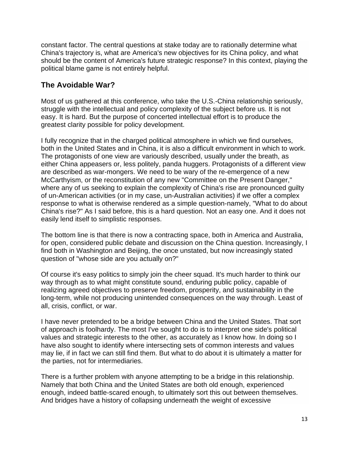constant factor. The central questions at stake today are to rationally determine what China's trajectory is, what are America's new objectives for its China policy, and what should be the content of America's future strategic response? In this context, playing the political blame game is not entirely helpful.

#### **The Avoidable War?**

Most of us gathered at this conference, who take the U.S.-China relationship seriously, struggle with the intellectual and policy complexity of the subject before us. It is not easy. It is hard. But the purpose of concerted intellectual effort is to produce the greatest clarity possible for policy development.

I fully recognize that in the charged political atmosphere in which we find ourselves, both in the United States and in China, it is also a difficult environment in which to work. The protagonists of one view are variously described, usually under the breath, as either China appeasers or, less politely, panda huggers. Protagonists of a different view are described as war-mongers. We need to be wary of the re-emergence of a new McCarthyism, or the reconstitution of any new "Committee on the Present Danger," where any of us seeking to explain the complexity of China's rise are pronounced guilty of un-American activities (or in my case, un-Australian activities) if we offer a complex response to what is otherwise rendered as a simple question-namely, "What to do about China's rise?" As I said before, this is a hard question. Not an easy one. And it does not easily lend itself to simplistic responses.

The bottom line is that there is now a contracting space, both in America and Australia, for open, considered public debate and discussion on the China question. Increasingly, I find both in Washington and Beijing, the once unstated, but now increasingly stated question of "whose side are you actually on?"

Of course it's easy politics to simply join the cheer squad. It's much harder to think our way through as to what might constitute sound, enduring public policy, capable of realizing agreed objectives to preserve freedom, prosperity, and sustainability in the long-term, while not producing unintended consequences on the way through. Least of all, crisis, conflict, or war.

I have never pretended to be a bridge between China and the United States. That sort of approach is foolhardy. The most I've sought to do is to interpret one side's political values and strategic interests to the other, as accurately as I know how. In doing so I have also sought to identify where intersecting sets of common interests and values may lie, if in fact we can still find them. But what to do about it is ultimately a matter for the parties, not for intermediaries.

There is a further problem with anyone attempting to be a bridge in this relationship. Namely that both China and the United States are both old enough, experienced enough, indeed battle-scared enough, to ultimately sort this out between themselves. And bridges have a history of collapsing underneath the weight of excessive